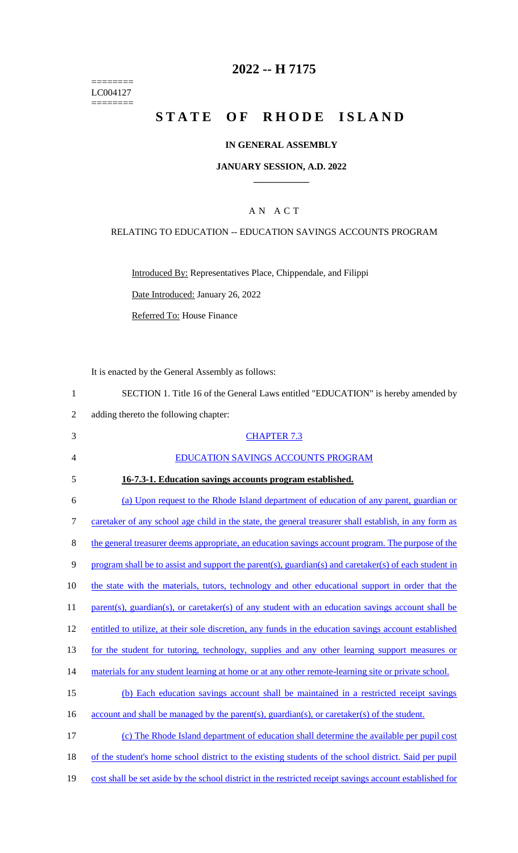======== LC004127 ========

#### **2022 -- H 7175**

# **STATE OF RHODE ISLAND**

#### **IN GENERAL ASSEMBLY**

#### **JANUARY SESSION, A.D. 2022 \_\_\_\_\_\_\_\_\_\_\_\_**

#### A N A C T

#### RELATING TO EDUCATION -- EDUCATION SAVINGS ACCOUNTS PROGRAM

Introduced By: Representatives Place, Chippendale, and Filippi

Date Introduced: January 26, 2022

Referred To: House Finance

It is enacted by the General Assembly as follows:

 SECTION 1. Title 16 of the General Laws entitled "EDUCATION" is hereby amended by adding thereto the following chapter: CHAPTER 7.3 EDUCATION SAVINGS ACCOUNTS PROGRAM **16-7.3-1. Education savings accounts program established.**  (a) Upon request to the Rhode Island department of education of any parent, guardian or caretaker of any school age child in the state, the general treasurer shall establish, in any form as 8 the general treasurer deems appropriate, an education savings account program. The purpose of the 9 program shall be to assist and support the parent(s), guardian(s) and caretaker(s) of each student in 10 the state with the materials, tutors, technology and other educational support in order that the

11 parent(s), guardian(s), or caretaker(s) of any student with an education savings account shall be

12 entitled to utilize, at their sole discretion, any funds in the education savings account established

13 for the student for tutoring, technology, supplies and any other learning support measures or

- 14 materials for any student learning at home or at any other remote-learning site or private school.
- 15 (b) Each education savings account shall be maintained in a restricted receipt savings
- 16 account and shall be managed by the parent(s), guardian(s), or caretaker(s) of the student.

17 (c) The Rhode Island department of education shall determine the available per pupil cost 18 of the student's home school district to the existing students of the school district. Said per pupil 19 cost shall be set aside by the school district in the restricted receipt savings account established for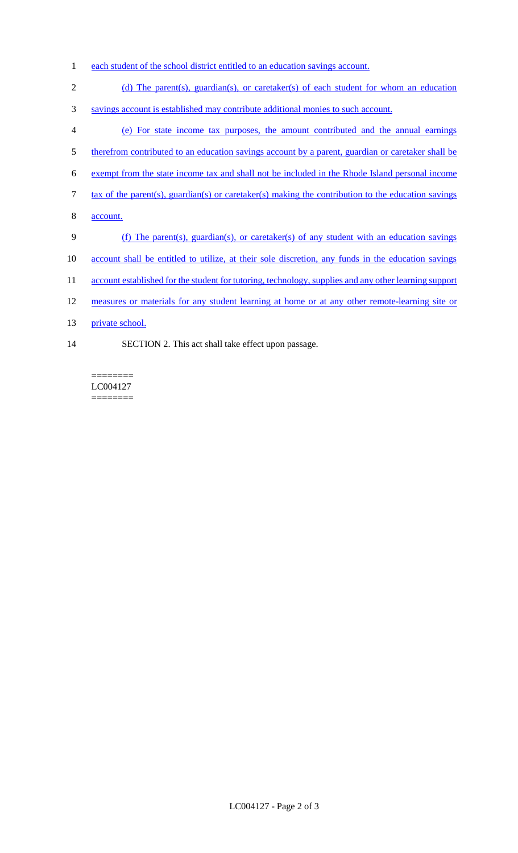- 1 each student of the school district entitled to an education savings account.
- 2 (d) The parent(s), guardian(s), or caretaker(s) of each student for whom an education
- 3 savings account is established may contribute additional monies to such account.
- 4 (e) For state income tax purposes, the amount contributed and the annual earnings
- 5 therefrom contributed to an education savings account by a parent, guardian or caretaker shall be
- 6 exempt from the state income tax and shall not be included in the Rhode Island personal income
- 7 tax of the parent(s), guardian(s) or caretaker(s) making the contribution to the education savings
- 8 account.
- 9 (f) The parent(s), guardian(s), or caretaker(s) of any student with an education savings
- 10 account shall be entitled to utilize, at their sole discretion, any funds in the education savings
- 11 account established for the student for tutoring, technology, supplies and any other learning support
- 12 measures or materials for any student learning at home or at any other remote-learning site or
- 13 private school.
- 14 SECTION 2. This act shall take effect upon passage.

======== LC004127 ========